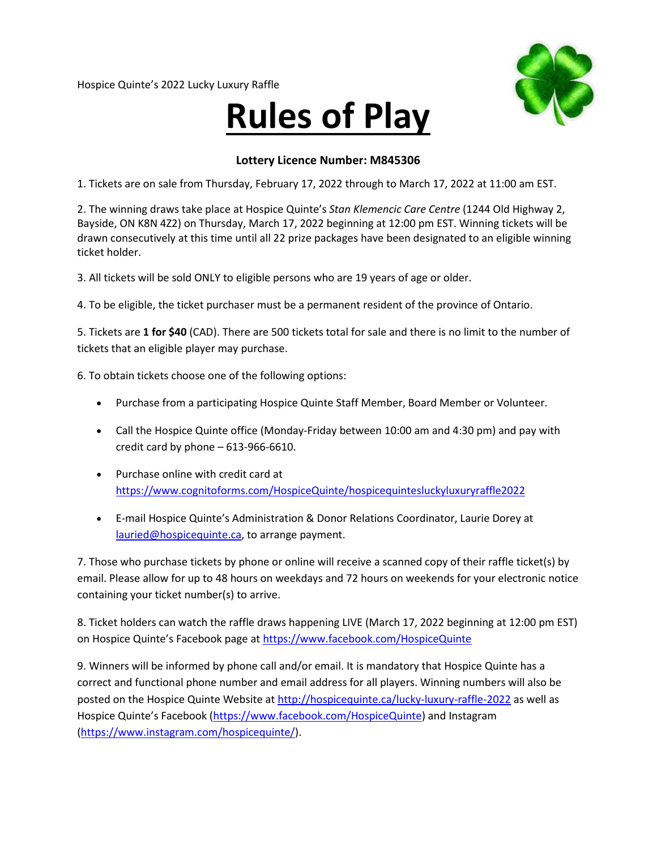Hospice Quinte's 2022 Lucky Luxury Raffle

## **Rules of Play**



## **Lottery Licence Number: M845306**

1. Tickets are on sale from Thursday, February 17, 2022 through to March 17, 2022 at 11:00 am EST.

2. The winning draws take place at Hospice Quinte's *Stan Klemencic Care Centre* (1244 Old Highway 2, Bayside, ON K8N 4Z2) on Thursday, March 17, 2022 beginning at 12:00 pm EST. Winning tickets will be drawn consecutively at this time until all 22 prize packages have been designated to an eligible winning ticket holder.

3. All tickets will be sold ONLY to eligible persons who are 19 years of age or older.

4. To be eligible, the ticket purchaser must be a permanent resident of the province of Ontario.

5. Tickets are **1 for \$40** (CAD). There are 500 tickets total for sale and there is no limit to the number of tickets that an eligible player may purchase.

6. To obtain tickets choose one of the following options:

- Purchase from a participating Hospice Quinte Staff Member, Board Member or Volunteer.
- Call the Hospice Quinte office (Monday-Friday between 10:00 am and 4:30 pm) and pay with credit card by phone  $-613-966-6610$ .
- Purchase online with credit card at <https://www.cognitoforms.com/HospiceQuinte/hospicequintesluckyluxuryraffle2022>
- E-mail Hospice Quinte's Administration & Donor Relations Coordinator, Laurie Dorey at [lauried@hospicequinte.ca,](mailto:lauried@hospicequinte.ca) to arrange payment.

7. Those who purchase tickets by phone or online will receive a scanned copy of their raffle ticket(s) by email. Please allow for up to 48 hours on weekdays and 72 hours on weekends for your electronic notice containing your ticket number(s) to arrive.

8. Ticket holders can watch the raffle draws happening LIVE (March 17, 2022 beginning at 12:00 pm EST) on Hospice Quinte's Facebook page at<https://www.facebook.com/HospiceQuinte>

9. Winners will be informed by phone call and/or email. It is mandatory that Hospice Quinte has a correct and functional phone number and email address for all players. Winning numbers will also be posted on the Hospice Quinte Website a[t http://hospicequinte.ca/lucky-luxury-raffle-2022](http://hospicequinte.ca/lucky-luxury-raffle-2022) as well as Hospice Quinte's Facebook [\(https://www.facebook.com/HospiceQuinte\)](https://www.facebook.com/HospiceQuinte) and Instagram [\(https://www.instagram.com/hospicequinte/\)](https://www.instagram.com/hospicequinte/).